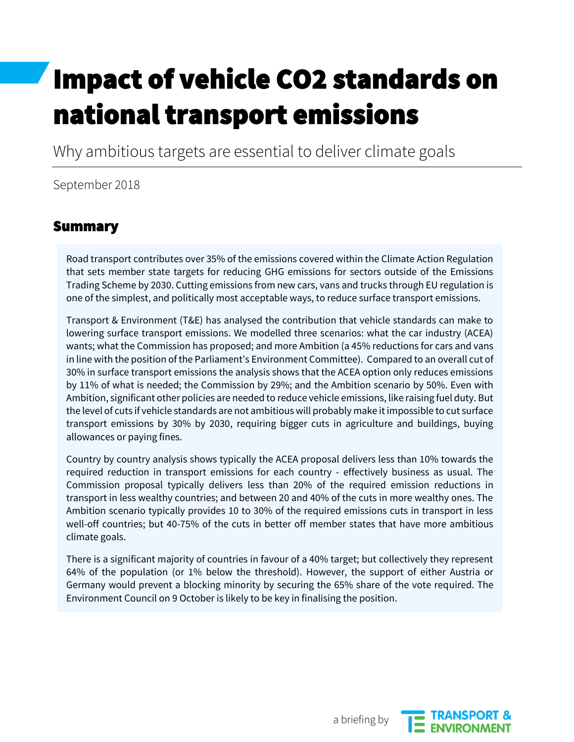# Impact of vehicle CO2 standards on national transport emissions

Why ambitious targets are essential to deliver climate goals

September 2018

#### Summary

Road transport contributes over 35% of the emissions covered within the Climate Action Regulation that sets member state targets for reducing GHG emissions for sectors outside of the Emissions Trading Scheme by 2030. Cutting emissions from new cars, vans and trucks through EU regulation is one of the simplest, and politically most acceptable ways, to reduce surface transport emissions.

Transport & Environment (T&E) has analysed the contribution that vehicle standards can make to lowering surface transport emissions. We modelled three scenarios: what the car industry (ACEA) wants; what the Commission has proposed; and more Ambition (a 45% reductions for cars and vans in line with the position of the Parliament's Environment Committee). Compared to an overall cut of 30% in surface transport emissions the analysis shows that the ACEA option only reduces emissions by 11% of what is needed; the Commission by 29%; and the Ambition scenario by 50%. Even with Ambition, significant other policies are needed to reduce vehicle emissions, like raising fuel duty. But the level of cuts if vehicle standards are not ambitious will probably make it impossible to cut surface transport emissions by 30% by 2030, requiring bigger cuts in agriculture and buildings, buying allowances or paying fines.

Country by country analysis shows typically the ACEA proposal delivers less than 10% towards the required reduction in transport emissions for each country - effectively business as usual. The Commission proposal typically delivers less than 20% of the required emission reductions in transport in less wealthy countries; and between 20 and 40% of the cuts in more wealthy ones. The Ambition scenario typically provides 10 to 30% of the required emissions cuts in transport in less well-off countries; but 40-75% of the cuts in better off member states that have more ambitious climate goals.

There is a significant majority of countries in favour of a 40% target; but collectively they represent 64% of the population (or 1% below the threshold). However, the support of either Austria or Germany would prevent a blocking minority by securing the 65% share of the vote required. The Environment Council on 9 October is likely to be key in finalising the position.



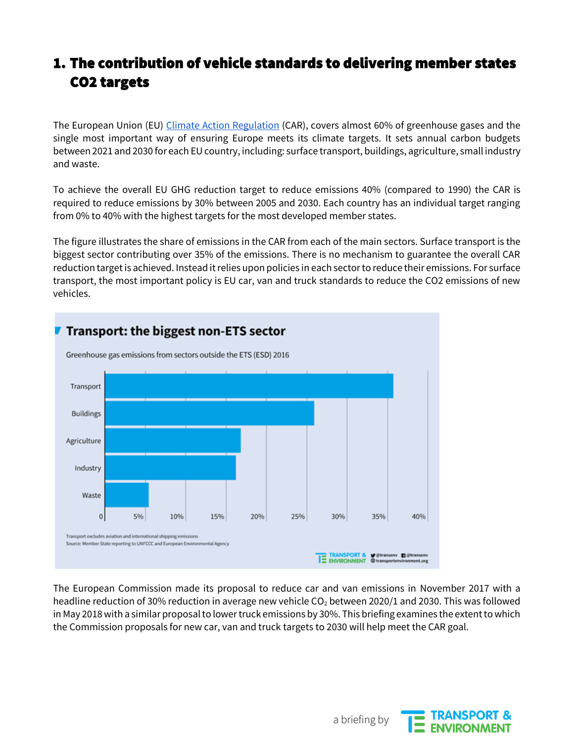#### 1. The contribution of vehicle standards to delivering member states CO2 targets

The European Union (EU) [Climate Action Regulation](https://ec.europa.eu/clima/policies/effort/proposal_en) (CAR), covers almost 60% of greenhouse gases and the single most important way of ensuring Europe meets its climate targets. It sets annual carbon budgets between 2021 and 2030 for each EU country, including: surface transport, buildings, agriculture, small industry and waste.

To achieve the overall EU GHG reduction target to reduce emissions 40% (compared to 1990) the CAR is required to reduce emissions by 30% between 2005 and 2030. Each country has an individual target ranging from 0% to 40% with the highest targets for the most developed member states.

The figure illustrates the share of emissions in the CAR from each of the main sectors. Surface transport is the biggest sector contributing over 35% of the emissions. There is no mechanism to guarantee the overall CAR reduction target is achieved. Instead it relies upon policies in each sector to reduce their emissions. For surface transport, the most important policy is EU car, van and truck standards to reduce the CO2 emissions of new vehicles.



The European Commission made its proposal to reduce car and van emissions in November 2017 with a headline reduction of 30% reduction in average new vehicle  $CO<sub>2</sub>$  between 2020/1 and 2030. This was followed in May 2018 with a similar proposal to lower truck emissions by 30%. This briefing examines the extent to which the Commission proposals for new car, van and truck targets to 2030 will help meet the CAR goal.



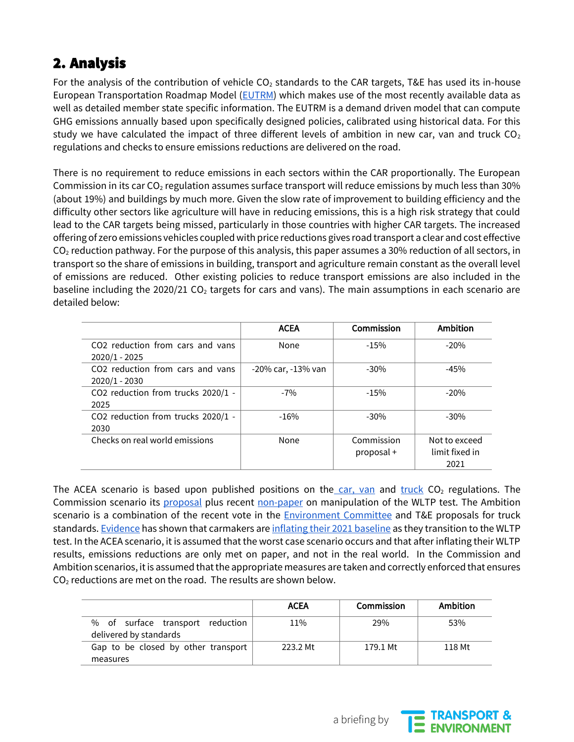## 2. Analysis

For the analysis of the contribution of vehicle  $CO<sub>2</sub>$  standards to the CAR targets, T&E has used its in-house European Transportation Roadmap Model [\(EUTRM\)](https://www.transportenvironment.org/what-we-do/eu-transport-policy/emissions-modelling) which makes use of the most recently available data as well as detailed member state specific information. The EUTRM is a demand driven model that can compute GHG emissions annually based upon specifically designed policies, calibrated using historical data. For this study we have calculated the impact of three different levels of ambition in new car, van and truck  $CO<sub>2</sub>$ regulations and checks to ensure emissions reductions are delivered on the road.

There is no requirement to reduce emissions in each sectors within the CAR proportionally. The European Commission in its car  $CO<sub>2</sub>$  regulation assumes surface transport will reduce emissions by much less than 30% (about 19%) and buildings by much more. Given the slow rate of improvement to building efficiency and the difficulty other sectors like agriculture will have in reducing emissions, this is a high risk strategy that could lead to the CAR targets being missed, particularly in those countries with higher CAR targets. The increased offering of zero emissions vehicles coupled with price reductions gives road transport a clear and cost effective  $CO<sub>2</sub>$  reduction pathway. For the purpose of this analysis, this paper assumes a 30% reduction of all sectors, in transport so the share of emissions in building, transport and agriculture remain constant as the overall level of emissions are reduced. Other existing policies to reduce transport emissions are also included in the baseline including the 2020/21 CO<sub>2</sub> targets for cars and vans). The main assumptions in each scenario are detailed below:

|                                                     | <b>ACEA</b>        | Commission               | Ambition                                |
|-----------------------------------------------------|--------------------|--------------------------|-----------------------------------------|
| CO2 reduction from cars and vans<br>2020/1 - 2025   | None               | $-15%$                   | $-20%$                                  |
| CO2 reduction from cars and vans<br>$2020/1 - 2030$ | -20% car, -13% van | $-30%$                   | $-45%$                                  |
| CO2 reduction from trucks 2020/1 -<br>2025          | $-7%$              | $-15%$                   | $-20%$                                  |
| CO2 reduction from trucks 2020/1 -<br>2030          | $-16%$             | $-30%$                   | $-30%$                                  |
| Checks on real world emissions                      | None               | Commission<br>proposal + | Not to exceed<br>limit fixed in<br>2021 |

The ACEA scenario is based upon published positions on the [car, van](https://www.acea.be/publications/article/position-paper-the-european-commissions-proposal-on-post-2021-co2-targets-f) an[d](https://www.acea.be/publications/article/position-paper-european-commission-proposal-on-co2-standards-for-new-heavy) [truck](https://www.acea.be/publications/article/position-paper-european-commission-proposal-on-co2-standards-for-new-heavy)  $CO<sub>2</sub>$  regulations. The Commission scenario its [proposal](https://ec.europa.eu/clima/policies/transport/vehicles/cars_en) plus recen[t](https://www.transportenvironment.org/publications/european-commission-finds-evidence-car-industry-manipulating-wltp-tests-cheat-co2) [non-paper](https://www.transportenvironment.org/publications/european-commission-finds-evidence-car-industry-manipulating-wltp-tests-cheat-co2) on manipulation of the WLTP test. The Ambition sc[e](https://www.transportenvironment.org/press/meps-vote-faster-shift-electric-cars)nario is a combination of the recent vote in the [Environment Committee](https://www.transportenvironment.org/press/meps-vote-faster-shift-electric-cars) and T&E proposals for truck standards[.](https://www.transportenvironment.org/publications/european-commission-finds-evidence-car-industry-manipulating-wltp-tests-cheat-co2) [Evidence](https://www.transportenvironment.org/publications/european-commission-finds-evidence-car-industry-manipulating-wltp-tests-cheat-co2) has shown that carmakers ar[e](https://www.transportenvironment.org/publications/ending-cheating-and-collusion-using-real-world-co-2-measurements-within-post-2020-co-2) [inflating their 2021 baseline](https://www.transportenvironment.org/publications/ending-cheating-and-collusion-using-real-world-co-2-measurements-within-post-2020-co-2) as they transition to the WLTP test. In the ACEA scenario, it is assumed that the worst case scenario occurs and that after inflating their WLTP results, emissions reductions are only met on paper, and not in the real world. In the Commission and Ambition scenarios, it is assumed that the appropriate measures are taken and correctly enforced that ensures  $CO<sub>2</sub>$  reductions are met on the road. The results are shown below.

|                                                            | <b>ACEA</b> | <b>Commission</b> | Ambition |
|------------------------------------------------------------|-------------|-------------------|----------|
| % of surface transport reduction<br>delivered by standards | 11%         | 29%               | 53%      |
| Gap to be closed by other transport                        | 223.2 Mt    | 179.1 Mt          | 118 Mt   |
| measures                                                   |             |                   |          |



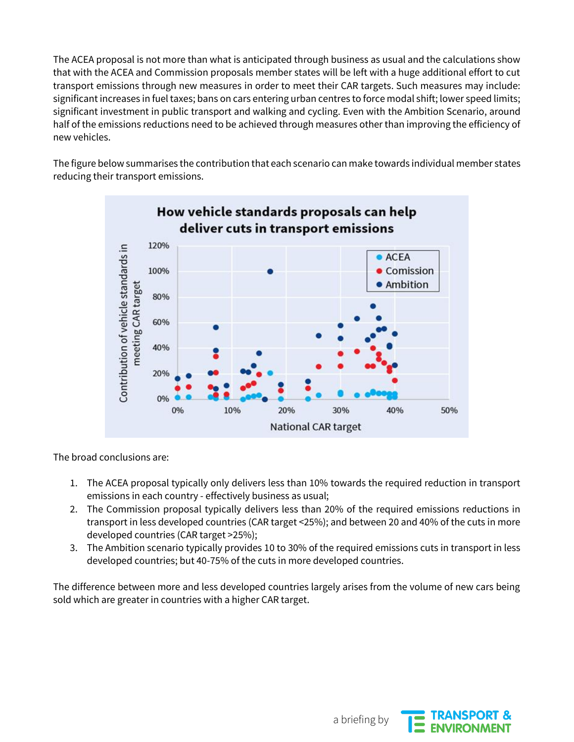The ACEA proposal is not more than what is anticipated through business as usual and the calculations show that with the ACEA and Commission proposals member states will be left with a huge additional effort to cut transport emissions through new measures in order to meet their CAR targets. Such measures may include: significant increases in fuel taxes; bans on cars entering urban centres to force modal shift; lower speed limits; significant investment in public transport and walking and cycling. Even with the Ambition Scenario, around half of the emissions reductions need to be achieved through measures other than improving the efficiency of new vehicles.

The figure below summarises the contribution that each scenario can make towards individual member states reducing their transport emissions.



The broad conclusions are:

- 1. The ACEA proposal typically only delivers less than 10% towards the required reduction in transport emissions in each country - effectively business as usual;
- 2. The Commission proposal typically delivers less than 20% of the required emissions reductions in transport in less developed countries (CAR target <25%); and between 20 and 40% of the cuts in more developed countries (CAR target >25%);
- 3. The Ambition scenario typically provides 10 to 30% of the required emissions cuts in transport in less developed countries; but 40-75% of the cuts in more developed countries.

The difference between more and less developed countries largely arises from the volume of new cars being sold which are greater in countries with a higher CAR target.



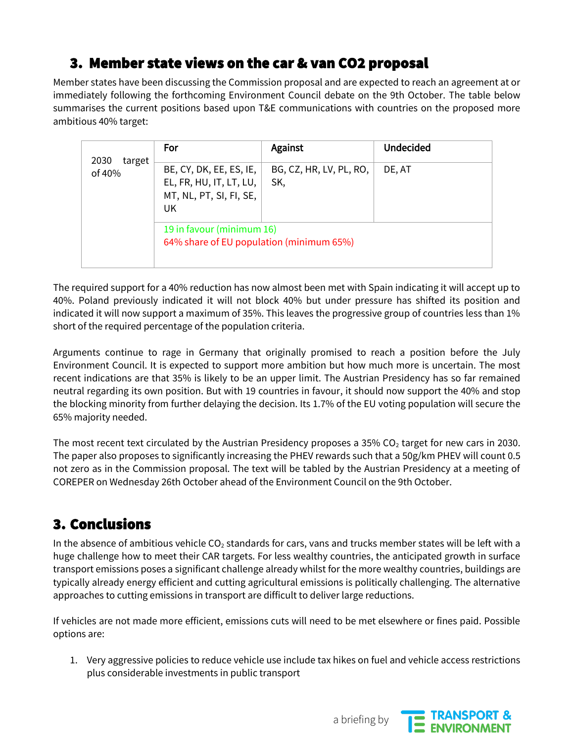## 3. Member state views on the car & van CO2 proposal

Member states have been discussing the Commission proposal and are expected to reach an agreement at or immediately following the forthcoming Environment Council debate on the 9th October. The table below summarises the current positions based upon T&E communications with countries on the proposed more ambitious 40% target:

| 2030<br>target<br>of 40% | For                                                                                 | Against                        | <b>Undecided</b> |
|--------------------------|-------------------------------------------------------------------------------------|--------------------------------|------------------|
|                          | BE, CY, DK, EE, ES, IE,<br>EL, FR, HU, IT, LT, LU,<br>MT, NL, PT, SI, FI, SE,<br>UK | BG, CZ, HR, LV, PL, RO,<br>SK, | DE, AT           |
|                          | 19 in favour (minimum 16)<br>64% share of EU population (minimum 65%)               |                                |                  |

The required support for a 40% reduction has now almost been met with Spain indicating it will accept up to 40%. Poland previously indicated it will not block 40% but under pressure has shifted its position and indicated it will now support a maximum of 35%. This leaves the progressive group of countries less than 1% short of the required percentage of the population criteria.

Arguments continue to rage in Germany that originally promised to reach a position before the July Environment Council. It is expected to support more ambition but how much more is uncertain. The most recent indications are that 35% is likely to be an upper limit. The Austrian Presidency has so far remained neutral regarding its own position. But with 19 countries in favour, it should now support the 40% and stop the blocking minority from further delaying the decision. Its 1.7% of the EU voting population will secure the 65% majority needed.

The most recent text circulated by the Austrian Presidency proposes a 35%  $CO<sub>2</sub>$  target for new cars in 2030. The paper also proposes to significantly increasing the PHEV rewards such that a 50g/km PHEV will count 0.5 not zero as in the Commission proposal. The text will be tabled by the Austrian Presidency at a meeting of COREPER on Wednesday 26th October ahead of the Environment Council on the 9th October.

### 3. Conclusions

In the absence of ambitious vehicle  $CO<sub>2</sub>$  standards for cars, vans and trucks member states will be left with a huge challenge how to meet their CAR targets. For less wealthy countries, the anticipated growth in surface transport emissions poses a significant challenge already whilst for the more wealthy countries, buildings are typically already energy efficient and cutting agricultural emissions is politically challenging. The alternative approaches to cutting emissions in transport are difficult to deliver large reductions.

If vehicles are not made more efficient, emissions cuts will need to be met elsewhere or fines paid. Possible options are:

1. Very aggressive policies to reduce vehicle use include tax hikes on fuel and vehicle access restrictions plus considerable investments in public transport

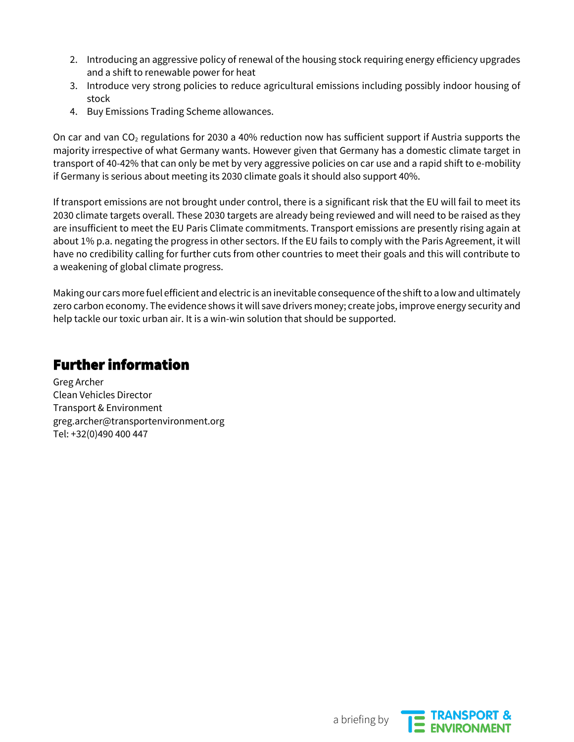- 2. Introducing an aggressive policy of renewal of the housing stock requiring energy efficiency upgrades and a shift to renewable power for heat
- 3. Introduce very strong policies to reduce agricultural emissions including possibly indoor housing of stock
- 4. Buy Emissions Trading Scheme allowances.

On car and van  $CO<sub>2</sub>$  regulations for 2030 a 40% reduction now has sufficient support if Austria supports the majority irrespective of what Germany wants. However given that Germany has a domestic climate target in transport of 40-42% that can only be met by very aggressive policies on car use and a rapid shift to e-mobility if Germany is serious about meeting its 2030 climate goals it should also support 40%.

If transport emissions are not brought under control, there is a significant risk that the EU will fail to meet its 2030 climate targets overall. These 2030 targets are already being reviewed and will need to be raised as they are insufficient to meet the EU Paris Climate commitments. Transport emissions are presently rising again at about 1% p.a. negating the progress in other sectors. If the EU fails to comply with the Paris Agreement, it will have no credibility calling for further cuts from other countries to meet their goals and this will contribute to a weakening of global climate progress.

Making our cars more fuel efficient and electric is an inevitable consequence of the shift to a low and ultimately zero carbon economy. The evidence shows it will save drivers money; create jobs, improve energy security and help tackle our toxic urban air. It is a win-win solution that should be supported.

#### Further information

Greg Archer Clean Vehicles Director Transport & Environment greg.archer@transportenvironment.org Tel: +32(0)490 400 447

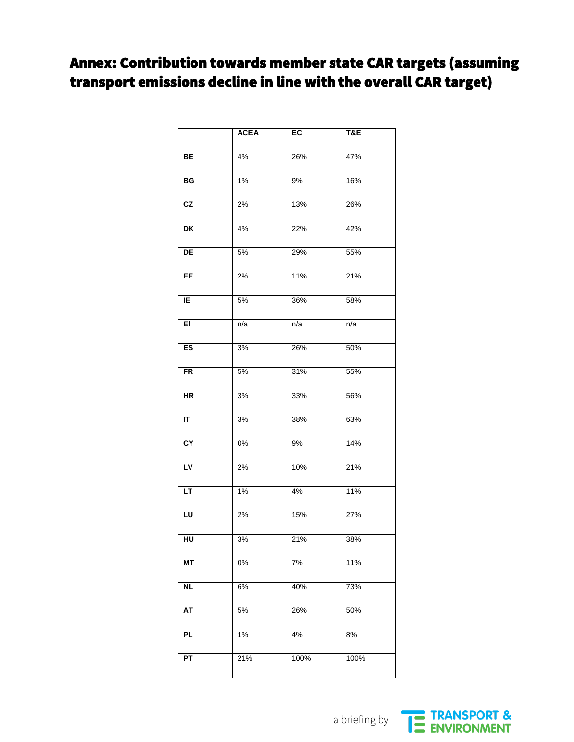### Annex: Contribution towards member state CAR targets (assuming transport emissions decline in line with the overall CAR target)

|                                   | <b>ACEA</b> | EC               | T&E  |
|-----------------------------------|-------------|------------------|------|
|                                   |             |                  |      |
| BE                                | 4%          | 26%              | 47%  |
| B <sub>G</sub>                    | $1\%$       | 9%               | 16%  |
| CZ                                | 2%          | 13%              | 26%  |
| $\overline{\mathsf{D}\mathsf{K}}$ | 4%          | 22%              | 42%  |
| DE                                | 5%          | 29%              | 55%  |
| EE                                | 2%          | 11%              | 21%  |
| ΙE                                | 5%          | 36%              | 58%  |
| E                                 | n/a         | n/a              | n/a  |
| ES                                | 3%          | 26%              | 50%  |
| <b>FR</b>                         | 5%          | 31%              | 55%  |
| $\overline{\mathsf{HR}}$          | 3%          | 33%              | 56%  |
| $\overline{\mathsf{I}}$           | 3%          | 38%              | 63%  |
| CY                                | 0%          | 9%               | 14%  |
| LV                                | 2%          | 10%              | 21%  |
| LT                                | 1%          | 4%               | 11%  |
| $\overline{\mathsf{L}\mathsf{U}}$ | 2%          | 15%              | 27%  |
| HU                                | 3%          | 21%              | 38%  |
| MT                                | 0%          | $\overline{7\%}$ | 11%  |
| <b>NL</b>                         | 6%          | 40%              | 73%  |
| AT                                | 5%          | 26%              | 50%  |
| <b>PL</b>                         | 1%          | 4%               | 8%   |
| PT                                | 21%         | 100%             | 100% |